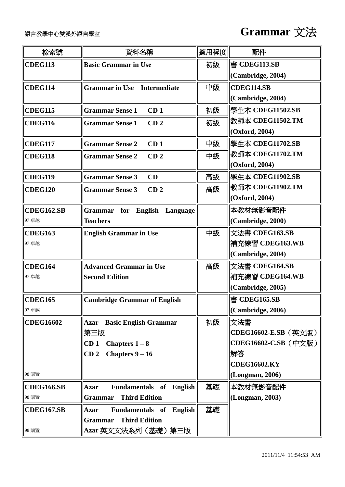

| 檢索號               | 資料名稱                                                | 適用程度 | 配件                   |
|-------------------|-----------------------------------------------------|------|----------------------|
| <b>CDEG113</b>    | <b>Basic Grammar in Use</b>                         | 初級   | 書 CDEG113.SB         |
|                   |                                                     |      | (Cambridge, 2004)    |
| <b>CDEG114</b>    | <b>Grammar in Use</b><br><b>Intermediate</b>        | 中級   | CDEG114.SB           |
|                   |                                                     |      | (Cambridge, 2004)    |
| <b>CDEG115</b>    | <b>Grammar Sense 1</b><br>CD <sub>1</sub>           | 初級   | 學生本 CDEG11502.SB     |
| <b>CDEG116</b>    | <b>Grammar Sense 1</b><br>CD <sub>2</sub>           | 初級   | 教師本 CDEG11502.TM     |
|                   |                                                     |      | (Oxford, 2004)       |
| <b>CDEG117</b>    | <b>Grammar Sense 2</b><br>CD <sub>1</sub>           | 中級   | 學生本 CDEG11702.SB     |
| <b>CDEG118</b>    | <b>Grammar Sense 2</b><br>CD <sub>2</sub>           | 中級   | 教師本 CDEG11702.TM     |
|                   |                                                     |      | (Oxford, 2004)       |
| <b>CDEG119</b>    | <b>Grammar Sense 3</b><br>CD                        | 高級   | 學生本 CDEG11902.SB     |
| <b>CDEG120</b>    | <b>Grammar Sense 3</b><br>CD <sub>2</sub>           | 高級   | 教師本 CDEG11902.TM     |
|                   |                                                     |      | (Oxford, 2004)       |
| <b>CDEG162.SB</b> | for<br><b>English</b><br>Language<br><b>Grammar</b> |      | 本教材無影音配件             |
| 97 卓越             | <b>Teachers</b>                                     |      | (Cambridge, 2000)    |
| <b>CDEG163</b>    | <b>English Grammar in Use</b>                       | 中級   | 文法書 CDEG163.SB       |
| 97 卓越             |                                                     |      | 補充練習 CDEG163.WB      |
|                   |                                                     |      | (Cambridge, 2004)    |
| <b>CDEG164</b>    | <b>Advanced Grammar in Use</b>                      | 高級   | 文法書 CDEG164.SB       |
| 97 卓越             | <b>Second Edition</b>                               |      | 補充練習 CDEG164.WB      |
|                   |                                                     |      | (Cambridge, 2005)    |
| <b>CDEG165</b>    | <b>Cambridge Grammar of English</b>                 |      | 書 CDEG165.SB         |
| 97 卓越             |                                                     |      | (Cambridge, 2006)    |
| <b>CDEG16602</b>  | <b>Basic English Grammar</b><br><b>Azar</b>         | 初級   | 文法書                  |
|                   | 第三版                                                 |      | CDEG16602-E.SB (英文版) |
|                   | Chapters $1-8$<br>CD <sub>1</sub>                   |      | CDEG16602-C.SB (中文版) |
|                   | CD <sub>2</sub><br>Chapters $9-16$                  |      | 解答                   |
|                   |                                                     |      | <b>CDEG16602.KY</b>  |
| 98 購置             |                                                     |      | (Longman, 2006)      |
| <b>CDEG166.SB</b> | <b>Azar</b><br><b>Fundamentals of English</b>       | 基礎   | 本教材無影音配件             |
| 98 購置             | <b>Third Edition</b><br><b>Grammar</b>              |      | (Longman, 2003)      |
| <b>CDEG167.SB</b> | <b>Azar</b><br><b>Fundamentals of English</b>       | 基礎   |                      |
|                   | <b>Third Edition</b><br><b>Grammar</b>              |      |                      |
| 98 購置             | Azar 英文文法系列(基礎)第三版                                  |      |                      |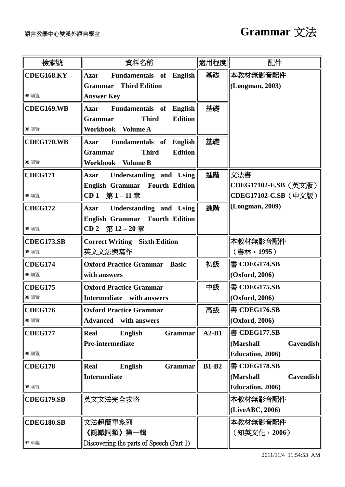| 檢索號               | 資料名稱                                             | 適用程度         | 配件                            |
|-------------------|--------------------------------------------------|--------------|-------------------------------|
| <b>CDEG168.KY</b> | <b>Azar</b><br>Fundamentals of English           | 基礎           | 本教材無影音配件                      |
|                   | <b>Third Edition</b><br><b>Grammar</b>           |              | (Longman, 2003)               |
| 98 購置             | <b>Answer Key</b>                                |              |                               |
| <b>CDEG169.WB</b> | <b>Azar</b><br><b>Fundamentals of English</b>    | 基礎           |                               |
|                   | <b>Third</b><br><b>Edition</b><br><b>Grammar</b> |              |                               |
| 98 購置             | Workbook<br><b>Volume A</b>                      |              |                               |
| CDEG170.WB        | <b>Fundamentals</b> of<br><b>English</b><br>Azar | 基礎           |                               |
|                   | <b>Edition</b><br><b>Third</b><br><b>Grammar</b> |              |                               |
| 98 購置             | <b>Workbook</b><br><b>Volume B</b>               |              |                               |
| <b>CDEG171</b>    | <b>Azar</b><br>Understanding and Using           | 進階           | 文法書                           |
|                   | <b>English Grammar</b> Fourth Edition            |              | CDEG17102-E.SB (英文版)          |
| 98 購置             | CD <sub>1</sub><br>第1-11章                        |              | CDEG17102-C.SB (中文版)          |
| <b>CDEG172</b>    | Understanding and Using<br>Azar                  | 進階           | (Longman, 2009)               |
|                   | <b>English Grammar</b> Fourth Edition            |              |                               |
| 98 購置             | CD 2 第12-20章                                     |              |                               |
| <b>CDEG173.SB</b> | <b>Correct Writing Sixth Edition</b>             |              | 本教材無影音配件                      |
| 98 購置             | 英文文法與寫作                                          |              | (書林,1995)                     |
| <b>CDEG174</b>    | <b>Oxford Practice Grammar</b><br><b>Basic</b>   | 初級           | 書 CDEG174.SB                  |
| 98 購置             | with answers                                     |              | (Oxford, 2006)                |
| <b>CDEG175</b>    | <b>Oxford Practice Grammar</b>                   | 中級           | 書 CDEG175.SB                  |
| 98 購置             | Intermediate with answers                        |              | (Oxford, 2006)                |
| <b>CDEG176</b>    | <b>Oxford Practice Grammar</b>                   | 高級           | 書 CDEG176.SB                  |
| 98 購置             | <b>Advanced</b><br>with answers                  |              | (Oxford, 2006)                |
| <b>CDEG177</b>    | Real<br>English<br>Grammar                       | $A2-B1$      | 書 CDEG177.SB                  |
|                   | Pre-intermediate                                 |              | (Marshall<br><b>Cavendish</b> |
| 98 購置             |                                                  |              | <b>Education</b> , 2006)      |
| <b>CDEG178</b>    | <b>Real</b><br><b>English</b><br><b>Grammar</b>  | <b>B1-B2</b> | 書 CDEG178.SB                  |
|                   | <b>Intermediate</b>                              |              | (Marshall<br><b>Cavendish</b> |
| 98 購置             |                                                  |              | <b>Education</b> , 2006)      |
| <b>CDEG179.SB</b> | 英文文法完全攻略                                         |              | 本教材無影音配件                      |
|                   |                                                  |              | (LiveABC, 2006)               |
| <b>CDEG180.SB</b> | 文法超簡單系列                                          |              | 本教材無影音配件                      |
|                   | 《認識詞類》第一輯                                        |              | (知英文化,2006)                   |
| 97 卓越             | Discovering the parts of Speech (Part 1)         |              |                               |